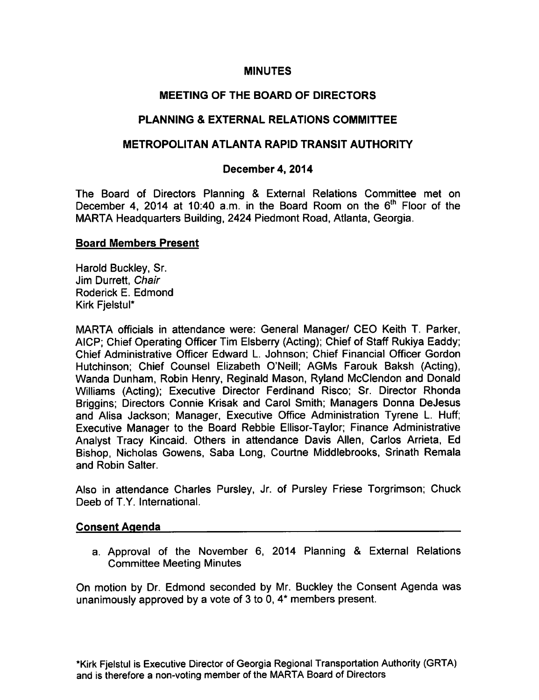## **MINUTES**

# MEETING OF THE BOARD OF DIRECTORS

# PLANNING & EXTERNAL RELATIONS COMMITTEE

# METROPOLITAN ATLANTA RAPID TRANSIT AUTHORITY

## December 4, 2014

The Board of Directors Planning & External Relations Committee met on December 4, 2014 at 10:40 a.m. in the Board Room on the  $6<sup>th</sup>$  Floor of the MARTA Headquarters Building, 2424 Piedmont Road, Atlanta, Georgia.

## Board Members Present

Harold Buckley, Sr. Jim Durrett, Chair Roderick E. Edmond Kirk Fjelstul\*

MARTA officials in attendance were: General Manager/ CEO Keith T. Parker, AICP; Chief Operating Officer Tim Elsberry (Acting); Chief of Staff Rukiya Eaddy; Chief Administrative Officer Edward L. Johnson; Chief Financial Officer Gordon Hutchinson; Chief Counsel Elizabeth O'Neill; AGMs Farouk Baksh (Acting), Wanda Dunham, Robin Henry, Reginald Mason, Ryland McClendon and Donald Williams (Acting); Executive Director Ferdinand Risco; Sr. Director Rhonda Briggins; Directors Connie Krisak and Carol Smith; Managers Donna DeJesus and Alisa Jackson; Manager, Executive Office Administration Tyrene L. Huff; Executive Manager to the Board Rebbie Ellisor-Taylor; Finance Administrative Analyst Tracy Kincaid. Others in attendance Davis Allen, Carlos Arrieta, Ed Bishop, Nicholas Gowens, Saba Long, Courtne Middlebrooks, Srinath Remala and Robin Salter.

Also in attendance Charles Pursley, Jr. of Pursley Friese Torgrimson; Chuck Deeb of T.Y. International.

#### Consent Agenda

a. Approval of the November 6, 2014 Planning & External Relations Committee Meeting Minutes

On motion by Dr. Edmond seconded by Mr. Buckley the Consent Agenda was unanimously approved by a vote of  $3$  to  $0$ ,  $4*$  members present.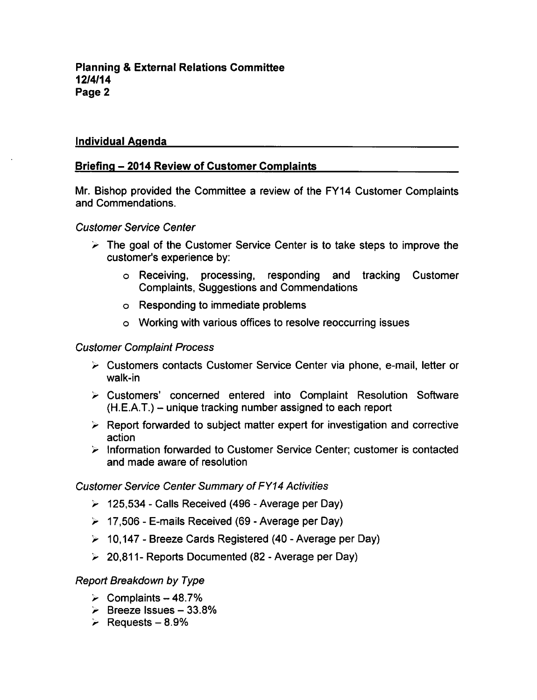## Individual Agenda

# Briefing - 2014 Review of Customer Complaints

Mr. Bishop provided the Committee a review of the FY14 Customer Complaints and Commendations.

#### Customer Service Center

- $\geq$  The goal of the Customer Service Center is to take steps to improve the customer's experience by:
	- Receiving, processing, responding and tracking Customer Complaints, Suggestions and Commendations
	- Responding to immediate problems
	- Working with various offices to resolve reoccurring issues

## Customer Complaint Process

- Customers contacts Customer Service Center via phone, e-mail, letter or walk-in
- Customers' concerned entered into Complaint Resolution Software  $(H.E.A.T.)$  – unique tracking number assigned to each report
- $\triangleright$  Report forwarded to subject matter expert for investigation and corrective action
- $\triangleright$  Information forwarded to Customer Service Center; customer is contacted and made aware of resolution

#### Customer Service Center Summary of FY14 Activities

- $\geq$  125,534 Calls Received (496 Average per Day)
- $\geq$  17,506 E-mails Received (69 Average per Day)
- $\geq 10,147$  Breeze Cards Registered (40 Average per Day)
- $\geq 20.811$  Reports Documented (82 Average per Day)

#### Report Breakdown by Type

- $\geq$  Complaints 48.7%
- $\geq$  Breeze Issues 33.8%
- $\geq$  Requests 8.9%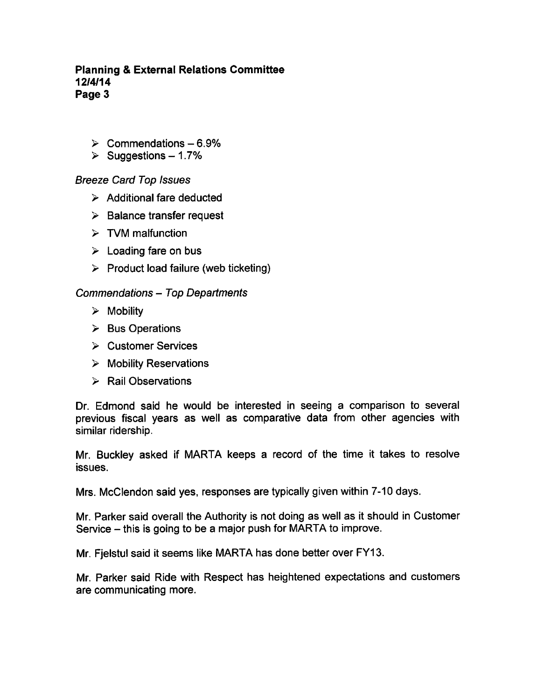## Planning External Relations Committee 12/4/14 Page 3

- $\geq$  Commendations 6.9%
- $\geq$  Suggestions 1.7%

# Breeze Card Top Issues

- $\triangleright$  Additional fare deducted
- $\geq$  Balance transfer request
- $\triangleright$  TVM malfunction
- $\geq$  Loading fare on bus
- $\triangleright$  Product load failure (web ticketing)

## Commendations - Top Departments

- $\triangleright$  Mobility
- $\triangleright$  Bus Operations
- $\triangleright$  Customer Services
- $\triangleright$  Mobility Reservations
- $\triangleright$  Rail Observations

Dr. Edmond said he would be interested in seeing a comparison to several previous fiscal years as well as comparative data from other agencies with similar ridership.

Mr. Buckley asked if MARTA keeps a record of the time it takes to resolve issues.

Mrs. McClendon said yes, responses are typically given within 7-10 days.

Mr. Parker said overall the Authority is not doing as well as it should in Customer Service – this is going to be a major push for MARTA to improve.

Mr. Fjelstul said it seems like MARTA has done better over FY13.

Mr. Parker said Ride with Respect has heightened expectations and customers are communicating more.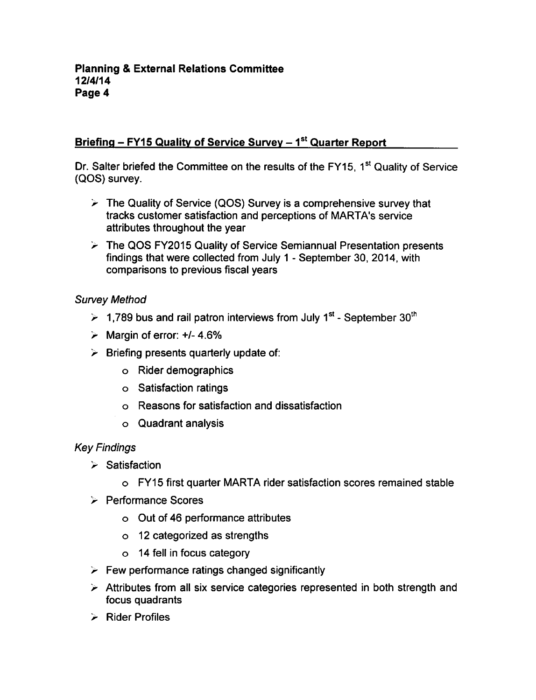# Briefing  $-$  FY15 Quality of Service Survey  $-1<sup>st</sup>$  Quarter Report

Dr. Salter briefed the Committee on the results of the FY15, 1<sup>st</sup> Quality of Service (QOS) survey.

- $\geq$  The Quality of Service (QOS) Survey is a comprehensive survey that tracks customer satisfaction and perceptions of MARTA's service attributes throughout the year
- The QOS FY2015 Quality of Service Semiannual Presentation presents findings that were collected from July 1 - September 30, 2014, with comparisons to previous fiscal years

# Survey Method

- $\geq 1,789$  bus and rail patron interviews from July 1<sup>st</sup> September 30<sup>th</sup>
- $\geq$  Margin of error: +/- 4.6%
- $\triangleright$  Briefing presents quarterly update of:
	- Rider demographics
	- Satisfaction ratings
	- Reasons for satisfaction and dissatisfaction
	- Quadrant analysis

# Key Findings

- $\triangleright$  Satisfaction
	- FY15 first quarter MARTA rider satisfaction scores remained stable
- **Performance Scores** 
	- Out of 46 performance attributes
	- 12 categorized as strengths
	- 14 fell in focus category
- $\triangleright$  Few performance ratings changed significantly
- $\triangleright$  Attributes from all six service categories represented in both strength and focus quadrants
- Rider Profiles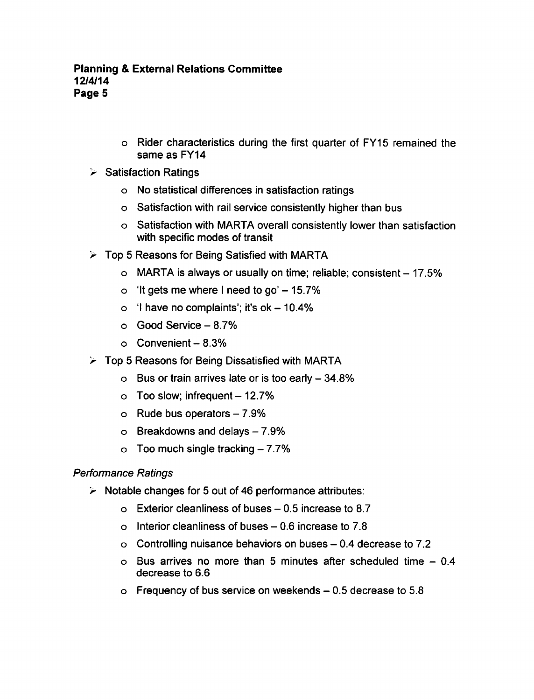- Rider characteristics during the first quarter of FY15 remained the same as FY14
- $\triangleright$  Satisfaction Ratings
	- No statistical differences in satisfaction ratings
	- Satisfaction with rail service consistently higher than bus
	- Satisfaction with MARTA overall consistently lower than satisfaction with specific modes of transit
- $\triangleright$  Top 5 Reasons for Being Satisfied with MARTA
	- $\circ$  MARTA is always or usually on time; reliable; consistent  $-17.5\%$
	- o 'It gets me where I need to go'  $-15.7\%$
	- $\circ$  'I have no complaints'; it's ok 10.4%
	- $\circ$  Good Service  $-8.7\%$
	- $\circ$  Convenient 8.3%
- $\geq$  Top 5 Reasons for Being Dissatisfied with MARTA
	- $\circ$  Bus or train arrives late or is too early  $-34.8\%$
	- $\circ$  Too slow; infrequent  $-12.7\%$
	- $\circ$  Rude bus operators  $-7.9\%$
	- $\circ$  Breakdowns and delays  $-7.9\%$
	- Too much single tracking  $-7.7%$  $\circ$

# Performance Ratings

- $\triangleright$  Notable changes for 5 out of 46 performance attributes:
	- $\circ$  Exterior cleanliness of buses  $-0.5$  increase to 8.7
	- o Interior cleanliness of buses  $-0.6$  increase to 7.8
	- $\circ$  Controlling nuisance behaviors on buses  $-0.4$  decrease to 7.2
	- $\circ$  Bus arrives no more than 5 minutes after scheduled time  $-0.4$ decrease to 6.6
	- $\circ$  Frequency of bus service on weekends  $-0.5$  decrease to 5.8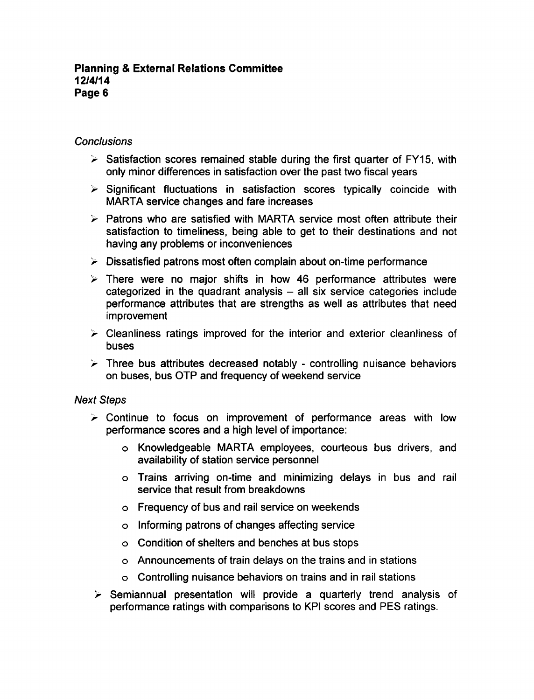### Planning External Relations Committee 12/4/14 Page 6

#### **Conclusions**

- $\geq$  Satisfaction scores remained stable during the first quarter of FY15, with only minor differences in satisfaction over the past two fiscal years
- $\triangleright$  Significant fluctuations in satisfaction scores typically coincide with MARTA service changes and fare increases
- $\triangleright$  Patrons who are satisfied with MARTA service most often attribute their satisfaction to timeliness, being able to get to their destinations and not having any problems or inconveniences
- $\triangleright$  Dissatisfied patrons most often complain about on-time performance
- $\triangleright$  There were no major shifts in how 46 performance attributes were categorized in the quadrant analysis  $-$  all six service categories include performance attributes that are strengths as well as attributes that need improvement
- $\triangleright$  Cleanliness ratings improved for the interior and exterior cleanliness of buses
- $\triangleright$  Three bus attributes decreased notably controlling nuisance behaviors on buses, bus OTP and frequency of weekend service

#### Next Steps

- $\geq$  Continue to focus on improvement of performance areas with low performance scores and a high level of importance:
	- Knowledgeable MARTA employees, courteous bus drivers, and availability of station service personnel
	- Trains arriving on-time and minimizing delays in bus and rail service that result from breakdowns
	- Frequency of bus and rail service on weekends
	- Informing patrons of changes affecting service
	- Condition of shelters and benches at bus stops
	- Announcements of train delays on the trains and in stations
	- Controlling nuisance behaviors on trains and in rail stations
- $\triangleright$  Semiannual presentation will provide a quarterly trend analysis of performance ratings with comparisons to KPI scores and PES ratings.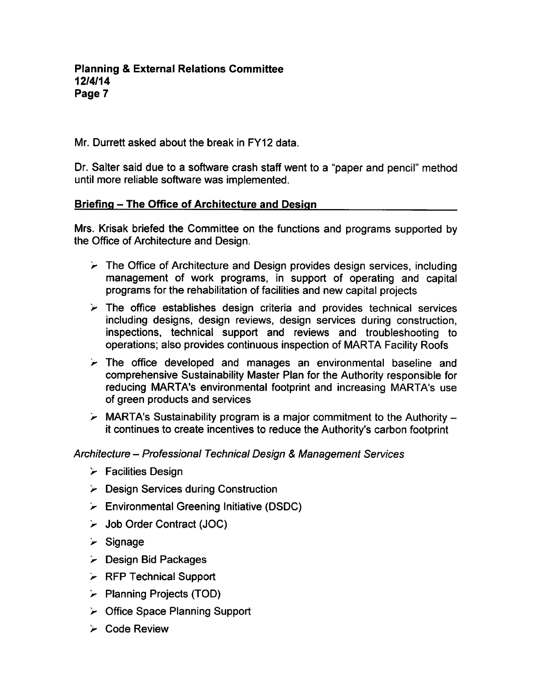Mr. Durrett asked about the break in FY12 data.

Dr. Salter said due to a software crash staff went to a "paper and pencil" method until more reliable software was implemented.

# Briefing – The Office of Architecture and Design

Mrs. Krisak briefed the Committee on the functions and programs supported by the Office of Architecture and Design.

- $\triangleright$  The Office of Architecture and Design provides design services, including management of work programs, in support of operating and capital programs for the rehabilitation of facilities and new capital projects
- $\triangleright$  The office establishes design criteria and provides technical services including designs, design reviews, design services during construction, inspections, technical support and reviews and troubleshooting to operations; also provides continuous inspection of MARTA Facility Roofs
- $\geq$  The office developed and manages an environmental baseline and comprehensive Sustainability Master Plan for the Authority responsible for reducing MARTA's environmental footprint and increasing MARTA's use of green products and services
- $\triangleright$  MARTA's Sustainability program is a major commitment to the Authority it continues to create incentives to reduce the Authority's carbon footprint

# Architecture – Professional Technical Design & Management Services

- $\triangleright$  Facilities Design
- $\triangleright$  Design Services during Construction
- $\triangleright$  Environmental Greening Initiative (DSDC)
- Job Order Contract (JOC)
- $\geq$  Signage
- Design Bid Packages
- $\triangleright$  RFP Technical Support
- $\triangleright$  Planning Projects (TOD)
- $\triangleright$  Office Space Planning Support
- Code Review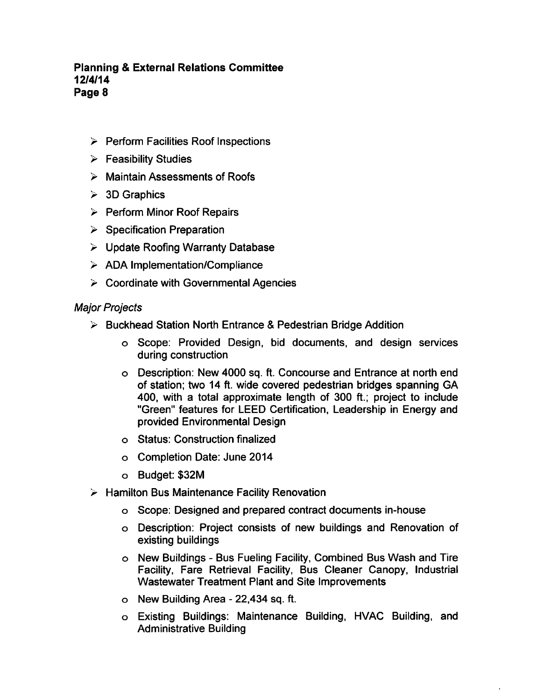# **Planning & External Relations Committee** 12/4/14 Page 8

- $\triangleright$  Perform Facilities Roof Inspections
- $\triangleright$  Feasibility Studies
- $\triangleright$  Maintain Assessments of Roofs
- $> 3D$  Graphics
- $\triangleright$  Perform Minor Roof Repairs
- $\triangleright$  Specification Preparation
- $\triangleright$  Update Roofing Warranty Database
- $\geq$  ADA Implementation/Compliance
- $\geq$  Coordinate with Governmental Agencies

## Major Projects

- $\triangleright$  Buckhead Station North Entrance & Pedestrian Bridge Addition
	- Scope: Provided Design, bid documents, and design services during construction
	- Description: New 4000 sq. ft. Concourse and Entrance at north end of station; two 14 ft. wide covered pedestrian bridges spanning GA 400, with a total approximate length of 300 ft.; project to include "Green" features for LEED Certification, Leadership in Energy and provided Environmental Design
	- Status: Construction finalized
	- Completion Date: June 2014
	- Budget: \$32M
- $\triangleright$  Hamilton Bus Maintenance Facility Renovation
	- Scope: Designed and prepared contract documents in-house
	- Description: Project consists of new buildings and Renovation of existing buildings
	- o New Buildings Bus Fueling Facility, Combined Bus Wash and Tire Facility, Fare Retrieval Facility, Bus Cleaner Canopy, Industrial Wastewater Treatment Plant and Site Improvements
	- $\circ$  New Building Area 22,434 sq. ft.
	- Existing Buildings: Maintenance Building, HVAC Building, and Administrative Building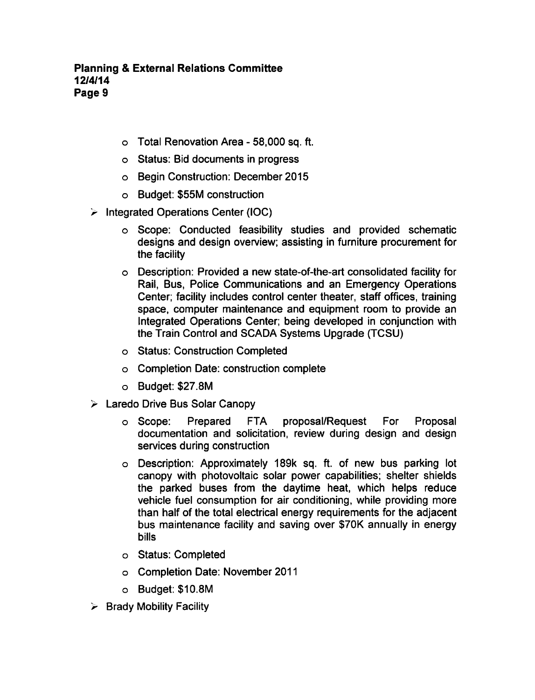- o Total Renovation Area 58,000 sq. ft.
- Status: Bid documents in progress
- Begin Construction: December 2015
- Budget: \$55M construction
- $\geq$  Integrated Operations Center (IOC)
	- Scope: Conducted feasibility studies and provided schematic designs and design overview; assisting in furniture procurement for the facility
	- Description: Provided new state-of-the-art consolidated facility for Rail, Bus, Police Communications and an Emergency Operations Center; facility includes control center theater, staff offices, training space, computer maintenance and equipment room to provide an Integrated Operations Center; being developed in conjunction with the Train Control and SCADA Systems Upgrade (TCSU)
	- Status: Construction Completed
	- Completion Date: construction complete
	- Budget: \$27.8M
- Laredo Drive Bus Solar Canopy
	- o Scope: Prepared FTA proposal/Request For Proposal documentation and solicitation, review during design and design services during construction
	- Description: Approximately 189k sq. ft. of new bus parking lot canopy with photovoltaic solar power capabilities; shelter shields the parked buses from the daytime heat, which helps reduce vehicle fuel consumption for air conditioning, while providing more than half of the total electrical energy requirements for the adjacent bus maintenance facility and saving over \$70K annually in energy bills
	- Status: Completed
	- Completion Date: November 2011
	- Budget: \$10.8M
- $\triangleright$  Brady Mobility Facility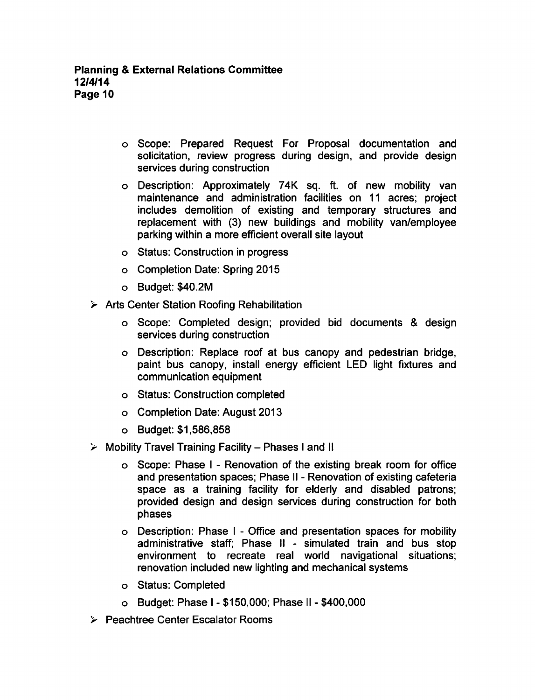- Scope: Prepared Request For Proposal documentation and solicitation, review progress during design, and provide design services during construction
- Description: Approximately 74K sq. ft. of new mobility van maintenance and administration facilities on 11 acres; project includes demolition of existing and temporary structures and replacement with (3) new buildings and mobility van/employee parking within a more efficient overall site layout
- Status: Construction in progress
- Completion Date: Spring 2015
- Budget: \$40.2M
- $\triangleright$  Arts Center Station Roofing Rehabilitation
	- o Scope: Completed design; provided bid documents & design services during construction
	- Description: Replace roof at bus canopy and pedestrian bridge, paint bus canopy, install energy efficient LED light fixtures and communication equipment
	- Status: Construction completed
	- Completion Date: August 2013
	- Budget: \$1,586,858
- $\geq$  Mobility Travel Training Facility Phases I and II
	- o Scope: Phase I Renovation of the existing break room for office and presentation spaces; Phase II - Renovation of existing cafeteria space as a training facility for elderly and disabled patrons; provided design and design services during construction for both phases
	- $\circ$  Description: Phase I Office and presentation spaces for mobility administrative staff; Phase II - simulated train and bus stop environment to recreate real world navigational situations; renovation included new lighting and mechanical systems
	- Status: Completed
	- $\circ$  Budget: Phase I \$150,000; Phase II \$400,000
- Peachtree Center Escalator Rooms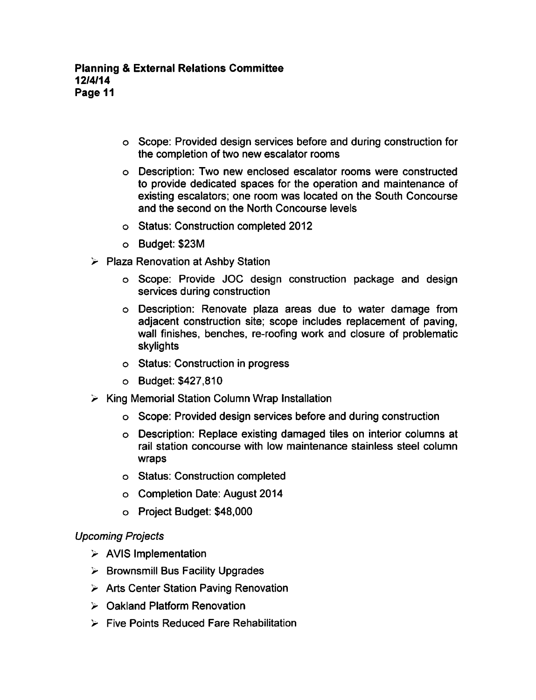- Scope: Provided design services before and during construction for the completion of two new escalator rooms
- Description: Two new enclosed escalator rooms were constructed to provide dedicated spaces for the operation and maintenance of existing escalators; one room was located on the South Concourse and the second on the North Concourse levels
- Status: Construction completed 2012
- Budget: \$23M
- $\triangleright$  Plaza Renovation at Ashby Station
	- Scope: Provide JOC design construction package and design services during construction
	- Description: Renovate plaza areas due to water damage from adjacent construction site; scope includes replacement of paving, wall finishes, benches, re-roofing work and closure of problematic skylights
	- o Status: Construction in progress
	- Budget: \$427,810
- $\triangleright$  King Memorial Station Column Wrap Installation
	- Scope: Provided design services before and during construction
	- Description: Replace existing damaged tiles on interior columns at rail station concourse with low maintenance stainless steel column wraps
	- Status: Construction completed
	- Completion Date: August 2014
	- Project Budget: \$48,000

# Upcoming Projects

- $\triangleright$  AVIS Implementation
- $\triangleright$  Brownsmill Bus Facility Upgrades
- $\triangleright$  Arts Center Station Paving Renovation
- Oakland Platform Renovation
- $\triangleright$  Five Points Reduced Fare Rehabilitation